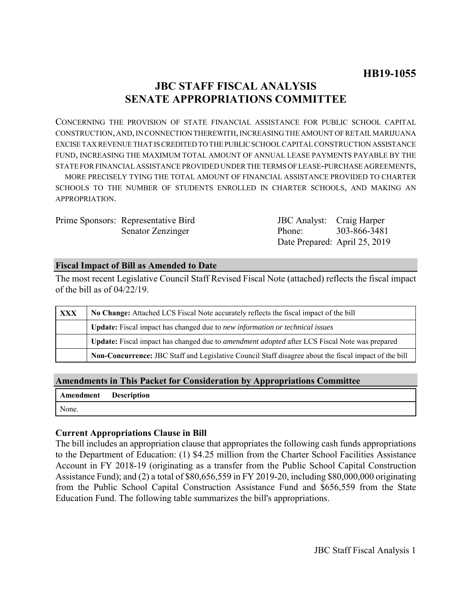## **JBC STAFF FISCAL ANALYSIS SENATE APPROPRIATIONS COMMITTEE**

CONCERNING THE PROVISION OF STATE FINANCIAL ASSISTANCE FOR PUBLIC SCHOOL CAPITAL CONSTRUCTION, AND, IN CONNECTION THEREWITH, INCREASING THE AMOUNT OF RETAIL MARIJUANA EXCISE TAX REVENUE THAT IS CREDITED TO THE PUBLIC SCHOOL CAPITAL CONSTRUCTION ASSISTANCE FUND, INCREASING THE MAXIMUM TOTAL AMOUNT OF ANNUAL LEASE PAYMENTS PAYABLE BY THE STATE FOR FINANCIAL ASSISTANCE PROVIDED UNDER THE TERMS OF LEASE-PURCHASE AGREEMENTS, MORE PRECISELY TYING THE TOTAL AMOUNT OF FINANCIAL ASSISTANCE PROVIDED TO CHARTER

SCHOOLS TO THE NUMBER OF STUDENTS ENROLLED IN CHARTER SCHOOLS, AND MAKING AN APPROPRIATION.

| Prime Sponsors: Representative Bird | JBC Analyst: Craig Harper     |  |
|-------------------------------------|-------------------------------|--|
| Senator Zenzinger                   | Phone: 303-866-3481           |  |
|                                     | Date Prepared: April 25, 2019 |  |

### **Fiscal Impact of Bill as Amended to Date**

The most recent Legislative Council Staff Revised Fiscal Note (attached) reflects the fiscal impact of the bill as of 04/22/19.

| <b>XXX</b> | No Change: Attached LCS Fiscal Note accurately reflects the fiscal impact of the bill                       |  |
|------------|-------------------------------------------------------------------------------------------------------------|--|
|            | Update: Fiscal impact has changed due to new information or technical issues                                |  |
|            | <b>Update:</b> Fiscal impact has changed due to <i>amendment adopted</i> after LCS Fiscal Note was prepared |  |
|            | Non-Concurrence: JBC Staff and Legislative Council Staff disagree about the fiscal impact of the bill       |  |

## **Amendments in This Packet for Consideration by Appropriations Committee**

|       | <b>Amendment</b> Description |
|-------|------------------------------|
| None. |                              |

### **Current Appropriations Clause in Bill**

The bill includes an appropriation clause that appropriates the following cash funds appropriations to the Department of Education: (1) \$4.25 million from the Charter School Facilities Assistance Account in FY 2018-19 (originating as a transfer from the Public School Capital Construction Assistance Fund); and (2) a total of \$80,656,559 in FY 2019-20, including \$80,000,000 originating from the Public School Capital Construction Assistance Fund and \$656,559 from the State Education Fund. The following table summarizes the bill's appropriations.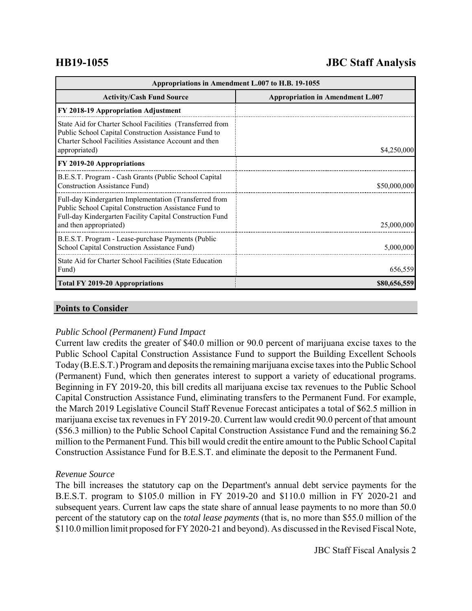# **HB19-1055 JBC Staff Analysis**

| Appropriations in Amendment L.007 to H.B. 19-1055                                                                                                                                                     |                                         |  |
|-------------------------------------------------------------------------------------------------------------------------------------------------------------------------------------------------------|-----------------------------------------|--|
| <b>Activity/Cash Fund Source</b>                                                                                                                                                                      | <b>Appropriation in Amendment L.007</b> |  |
| FY 2018-19 Appropriation Adjustment                                                                                                                                                                   |                                         |  |
| State Aid for Charter School Facilities (Transferred from<br>Public School Capital Construction Assistance Fund to<br>Charter School Facilities Assistance Account and then<br>appropriated)          | \$4,250,000                             |  |
| FY 2019-20 Appropriations                                                                                                                                                                             |                                         |  |
| B.E.S.T. Program - Cash Grants (Public School Capital<br>Construction Assistance Fund)                                                                                                                | \$50,000,000                            |  |
| Full-day Kindergarten Implementation (Transferred from<br>Public School Capital Construction Assistance Fund to<br>Full-day Kindergarten Facility Capital Construction Fund<br>and then appropriated) | 25,000,000                              |  |
| B.E.S.T. Program - Lease-purchase Payments (Public<br>School Capital Construction Assistance Fund)                                                                                                    | 5,000,000                               |  |
| State Aid for Charter School Facilities (State Education<br>Fund)                                                                                                                                     | 656,559                                 |  |
| <b>Total FY 2019-20 Appropriations</b>                                                                                                                                                                | \$80,656,559                            |  |

#### **Points to Consider**

### *Public School (Permanent) Fund Impact*

Current law credits the greater of \$40.0 million or 90.0 percent of marijuana excise taxes to the Public School Capital Construction Assistance Fund to support the Building Excellent Schools Today (B.E.S.T.) Program and deposits the remaining marijuana excise taxes into the Public School (Permanent) Fund, which then generates interest to support a variety of educational programs. Beginning in FY 2019-20, this bill credits all marijuana excise tax revenues to the Public School Capital Construction Assistance Fund, eliminating transfers to the Permanent Fund. For example, the March 2019 Legislative Council Staff Revenue Forecast anticipates a total of \$62.5 million in marijuana excise tax revenues in FY 2019-20. Current law would credit 90.0 percent of that amount (\$56.3 million) to the Public School Capital Construction Assistance Fund and the remaining \$6.2 million to the Permanent Fund. This bill would credit the entire amount to the Public School Capital Construction Assistance Fund for B.E.S.T. and eliminate the deposit to the Permanent Fund.

### *Revenue Source*

The bill increases the statutory cap on the Department's annual debt service payments for the B.E.S.T. program to \$105.0 million in FY 2019-20 and \$110.0 million in FY 2020-21 and subsequent years. Current law caps the state share of annual lease payments to no more than 50.0 percent of the statutory cap on the *total lease payments* (that is, no more than \$55.0 million of the \$110.0 million limit proposed for FY 2020-21 and beyond). As discussed in the Revised Fiscal Note,